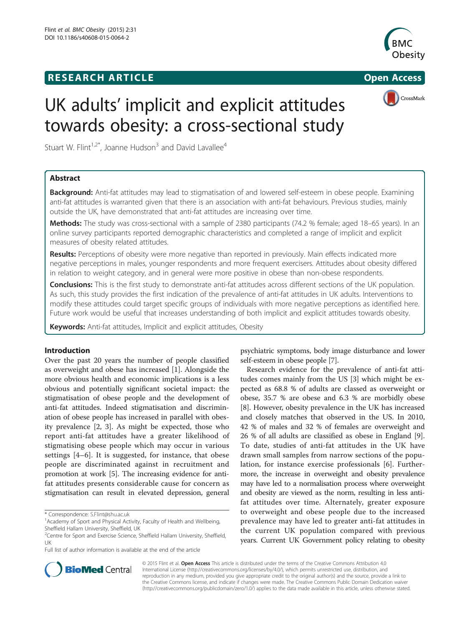# **RESEARCH ARTICLE Example 2014 12:30 The SEAR CH ACCESS**





# UK adults' implicit and explicit attitudes towards obesity: a cross-sectional study

Stuart W. Flint<sup>1,2\*</sup>, Joanne Hudson<sup>3</sup> and David Lavallee<sup>4</sup>

# Abstract

**Background:** Anti-fat attitudes may lead to stigmatisation of and lowered self-esteem in obese people. Examining anti-fat attitudes is warranted given that there is an association with anti-fat behaviours. Previous studies, mainly outside the UK, have demonstrated that anti-fat attitudes are increasing over time.

Methods: The study was cross-sectional with a sample of 2380 participants (74.2 % female; aged 18–65 years). In an online survey participants reported demographic characteristics and completed a range of implicit and explicit measures of obesity related attitudes.

Results: Perceptions of obesity were more negative than reported in previously. Main effects indicated more negative perceptions in males, younger respondents and more frequent exercisers. Attitudes about obesity differed in relation to weight category, and in general were more positive in obese than non-obese respondents.

Conclusions: This is the first study to demonstrate anti-fat attitudes across different sections of the UK population. As such, this study provides the first indication of the prevalence of anti-fat attitudes in UK adults. Interventions to modify these attitudes could target specific groups of individuals with more negative perceptions as identified here. Future work would be useful that increases understanding of both implicit and explicit attitudes towards obesity.

Keywords: Anti-fat attitudes, Implicit and explicit attitudes, Obesity

# Introduction

Over the past 20 years the number of people classified as overweight and obese has increased [[1\]](#page-6-0). Alongside the more obvious health and economic implications is a less obvious and potentially significant societal impact: the stigmatisation of obese people and the development of anti-fat attitudes. Indeed stigmatisation and discrimination of obese people has increased in parallel with obesity prevalence [[2, 3](#page-6-0)]. As might be expected, those who report anti-fat attitudes have a greater likelihood of stigmatising obese people which may occur in various settings [[4](#page-6-0)–[6](#page-6-0)]. It is suggested, for instance, that obese people are discriminated against in recruitment and promotion at work [\[5](#page-6-0)]. The increasing evidence for antifat attitudes presents considerable cause for concern as stigmatisation can result in elevated depression, general

\* Correspondence: [S.Flint@shu.ac.uk](mailto:S.Flint@shu.ac.uk) <sup>1</sup>

Full list of author information is available at the end of the article

psychiatric symptoms, body image disturbance and lower self-esteem in obese people [\[7](#page-6-0)].

Research evidence for the prevalence of anti-fat attitudes comes mainly from the US [\[3](#page-6-0)] which might be expected as 68.8 % of adults are classed as overweight or obese, 35.7 % are obese and 6.3 % are morbidly obese [[8\]](#page-6-0). However, obesity prevalence in the UK has increased and closely matches that observed in the US. In 2010, 42 % of males and 32 % of females are overweight and 26 % of all adults are classified as obese in England [\[9](#page-7-0)]. To date, studies of anti-fat attitudes in the UK have drawn small samples from narrow sections of the population, for instance exercise professionals [[6](#page-6-0)]. Furthermore, the increase in overweight and obesity prevalence may have led to a normalisation process where overweight and obesity are viewed as the norm, resulting in less antifat attitudes over time. Alternately, greater exposure to overweight and obese people due to the increased prevalence may have led to greater anti-fat attitudes in the current UK population compared with previous years. Current UK Government policy relating to obesity



© 2015 Flint et al. Open Access This article is distributed under the terms of the Creative Commons Attribution 4.0 International License [\(http://creativecommons.org/licenses/by/4.0/](http://creativecommons.org/licenses/by/4.0/)), which permits unrestricted use, distribution, and reproduction in any medium, provided you give appropriate credit to the original author(s) and the source, provide a link to the Creative Commons license, and indicate if changes were made. The Creative Commons Public Domain Dedication waiver [\(http://creativecommons.org/publicdomain/zero/1.0/](http://creativecommons.org/publicdomain/zero/1.0/)) applies to the data made available in this article, unless otherwise stated.

<sup>&</sup>lt;sup>1</sup> Academy of Sport and Physical Activity, Faculty of Health and Wellbeing, Sheffield Hallam University, Sheffield, UK

<sup>&</sup>lt;sup>2</sup>Centre for Sport and Exercise Science, Sheffield Hallam University, Sheffield, UK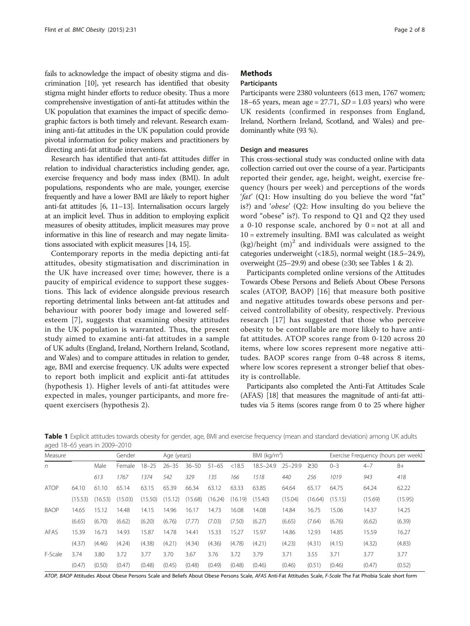<span id="page-1-0"></span>fails to acknowledge the impact of obesity stigma and discrimination [\[10\]](#page-7-0), yet research has identified that obesity stigma might hinder efforts to reduce obesity. Thus a more comprehensive investigation of anti-fat attitudes within the UK population that examines the impact of specific demographic factors is both timely and relevant. Research examining anti-fat attitudes in the UK population could provide pivotal information for policy makers and practitioners by directing anti-fat attitude interventions.

Research has identified that anti-fat attitudes differ in relation to individual characteristics including gender, age, exercise frequency and body mass index (BMI). In adult populations, respondents who are male, younger, exercise frequently and have a lower BMI are likely to report higher anti-fat attitudes [[6](#page-6-0), [11](#page-7-0)–[13](#page-7-0)]. Internalisation occurs largely at an implicit level. Thus in addition to employing explicit measures of obesity attitudes, implicit measures may prove informative in this line of research and may negate limitations associated with explicit measures [\[14, 15\]](#page-7-0).

Contemporary reports in the media depicting anti-fat attitudes, obesity stigmatisation and discrimination in the UK have increased over time; however, there is a paucity of empirical evidence to support these suggestions. This lack of evidence alongside previous research reporting detrimental links between ant-fat attitudes and behaviour with poorer body image and lowered selfesteem [[7](#page-6-0)], suggests that examining obesity attitudes in the UK population is warranted. Thus, the present study aimed to examine anti-fat attitudes in a sample of UK adults (England, Ireland, Northern Ireland, Scotland, and Wales) and to compare attitudes in relation to gender, age, BMI and exercise frequency. UK adults were expected to report both implicit and explicit anti-fat attitudes (hypothesis 1). Higher levels of anti-fat attitudes were expected in males, younger participants, and more frequent exercisers (hypothesis 2).

# **Methods**

# Participants

Participants were 2380 volunteers (613 men, 1767 women; 18–65 years, mean age =  $27.71$ ,  $SD = 1.03$  years) who were UK residents (confirmed in responses from England, Ireland, Northern Ireland, Scotland, and Wales) and predominantly white (93 %).

#### Design and measures

This cross-sectional study was conducted online with data collection carried out over the course of a year. Participants reported their gender, age, height, weight, exercise frequency (hours per week) and perceptions of the words 'fat' (Q1: How insulting do you believe the word "fat" is?) and 'obese' (Q2: How insulting do you believe the word "obese" is?). To respond to Q1 and Q2 they used a 0-10 response scale, anchored by  $0 = not$  at all and 10 = extremely insulting. BMI was calculated as weight  $(kg)/$ height  $(m)^2$  and individuals were assigned to the categories underweight (<18.5), normal weight (18.5–24.9), overweight (25–29.9) and obese ( $\geq$ 30; see Tables 1 & [2\)](#page-2-0).

Participants completed online versions of the Attitudes Towards Obese Persons and Beliefs About Obese Persons scales (ATOP, BAOP) [\[16\]](#page-7-0) that measure both positive and negative attitudes towards obese persons and perceived controllability of obesity, respectively. Previous research [\[17\]](#page-7-0) has suggested that those who perceive obesity to be controllable are more likely to have antifat attitudes. ATOP scores range from 0-120 across 20 items, where low scores represent more negative attitudes. BAOP scores range from 0-48 across 8 items, where low scores represent a stronger belief that obesity is controllable.

Participants also completed the Anti-Fat Attitudes Scale (AFAS) [[18](#page-7-0)] that measures the magnitude of anti-fat attitudes via 5 items (scores range from 0 to 25 where higher

Table 1 Explicit attitudes towards obesity for gender, age, BMI and exercise frequency (mean and standard deviation) among UK adults aged 18–65 years in 2009–2010

| Measure     |         | Gender  |         | Age (years) |           |           | BMI $(kq/m2)$ |         |           | Exercise Frequency (hours per week) |           |         |         |         |
|-------------|---------|---------|---------|-------------|-----------|-----------|---------------|---------|-----------|-------------------------------------|-----------|---------|---------|---------|
| n           |         | Male    | Female  | $18 - 25$   | $26 - 35$ | $36 - 50$ | $51 - 65$     | < 18.5  | 18.5-24.9 | $25 - 29.9$                         | $\geq$ 30 | $0 - 3$ | $4 - 7$ | $8+$    |
|             |         | 613     | 1767    | 1374        | 542       | 329       | 135           | 166     | 1518      | 440                                 | 256       | 1019    | 943     | 418     |
| <b>ATOP</b> | 64.10   | 61.10   | 65.14   | 63.15       | 65.39     | 66.34     | 63.12         | 63.33   | 63.85     | 64.64                               | 65.17     | 64.75   | 64.24   | 62.22   |
|             | (15.53) | (16.53) | (15.03) | (15.50)     | (15.12)   | (15.68)   | (16.24)       | (16.19) | (15.40)   | (15.04)                             | (16.64)   | (15.15) | (15.69) | (15.95) |
| <b>BAOP</b> | 14.65   | 15.12   | 14.48   | 14.15       | 14.96     | 16.17     | 14.73         | 16.08   | 14.08     | 14.84                               | 16.75     | 15.06   | 14.37   | 14.25   |
|             | (6.65)  | (6.70)  | (6.62)  | (6.20)      | (6.76)    | (7.77)    | (7.03)        | (7.50)  | (6.27)    | (6.65)                              | (7.64)    | (6.76)  | (6.62)  | (6.39)  |
| AFAS        | 15.39   | 16.73   | 14.93   | 15.87       | 14.78     | 14.41     | 15.33         | 15.27   | 15.97     | 14.86                               | 12.93     | 14.85   | 15.59   | 16.27   |
|             | (4.37)  | (4.46)  | (4.24)  | (4.38)      | (4.21)    | (4.34)    | (4.36)        | (4.78)  | (4.21)    | (4.23)                              | (4.31)    | (4.15)  | (4.32)  | (4.83)  |
| F-Scale     | 3.74    | 3.80    | 3.72    | 3.77        | 3.70      | 3.67      | 3.76          | 3.72    | 3.79      | 3.71                                | 3.55      | 3.71    | 3.77    | 3.77    |
|             | (0.47)  | (0.50)  | (0.47)  | (0.48)      | (0.45)    | (0.48)    | (0.49)        | (0.48)  | (0.46)    | (0.46)                              | (0.51)    | (0.46)  | (0.47)  | (0.52)  |

ATOP, BAOP Attitudes About Obese Persons Scale and Beliefs About Obese Persons Scale, AFAS Anti-Fat Attitudes Scale, F-Scale The Fat Phobia Scale short form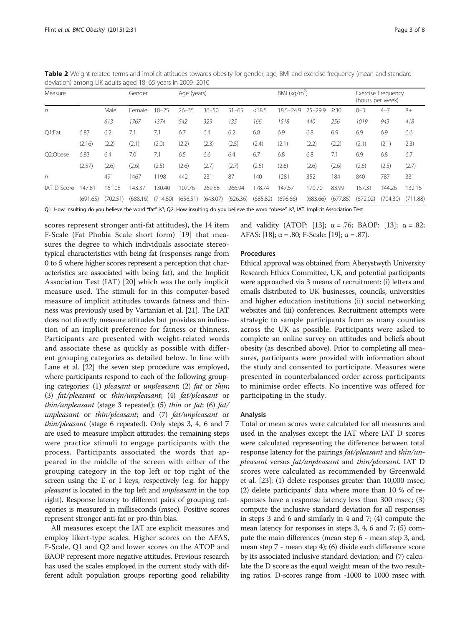| Measure            |          |          | Gender   |           | Age (years) |           |           |          | BMI ( $kg/m2$ ) |             |           | (hours per week) | <b>Exercise Frequency</b> |          |
|--------------------|----------|----------|----------|-----------|-------------|-----------|-----------|----------|-----------------|-------------|-----------|------------------|---------------------------|----------|
| n                  |          | Male     | Female   | $18 - 25$ | $26 - 35$   | $36 - 50$ | $51 - 65$ | < 18.5   | $18.5 - 24.9$   | $25 - 29.9$ | $\geq 30$ | $0 - 3$          | $4 - 7$                   | $8+$     |
|                    |          | 613      | 1767     | 1374      | 542         | 329       | 135       | 166      | 1518            | 440         | 256       | 1019             | 943                       | 418      |
| O1:Fat             | 6.87     | 6.2      | 7.1      | 7.1       | 6.7         | 6.4       | 6.2       | 6.8      | 6.9             | 6.8         | 6.9       | 6.9              | 6.9                       | 6.6      |
|                    | (2.16)   | (2.2)    | (2.1)    | (2.0)     | (2.2)       | (2.3)     | (2.5)     | (2.4)    | (2.1)           | (2.2)       | (2.2)     | (2.1)            | (2.1)                     | 2.3)     |
| O2:Obese           | 6.83     | 6.4      | 7.0      | 7.1       | 6.5         | 6.6       | 6.4       | 6.7      | 6.8             | 6.8         | 7.1       | 6.9              | 6.8                       | 6.7      |
|                    | (2.57)   | (2.6)    | (2.6)    | (2.5)     | (2.6)       | (2.7)     | (2.7)     | (2.5)    | (2.6)           | (2.6)       | (2.6)     | (2.6)            | (2.5)                     | (2.7)    |
| n                  |          | 491      | 1467     | 1198      | 442         | 231       | 87        | 140      | 1281            | 352         | 84        | 840              | 787                       | 331      |
| <b>IAT D Score</b> | 147.81   | 161.08   | 143.37   | 130.40    | 107.76      | 269.88    | 266.94    | 178.74   | 147.57          | 170.70      | 83.99     | 157.31           | 144.26                    | 132.16   |
|                    | (691.65) | (702.51) | (688.16) | (714.80)  | (656.51)    | (643.07)  | (626.36)  | (685.82) | (696.66)        | (683.66)    | (677.85)  | (672.02)         | (704.30)                  | (711.88) |

<span id="page-2-0"></span>Table 2 Weight-related terms and implicit attitudes towards obesity for gender, age, BMI and exercise frequency (mean and standard deviation) among UK adults aged 18–65 years in 2009–2010

Q1: How insulting do you believe the word "fat" is?; Q2: How insulting do you believe the word "obese" is?; IAT: Implicit Association Test

scores represent stronger anti-fat attitudes), the 14 item F-Scale (Fat Phobia Scale short form) [\[19](#page-7-0)] that measures the degree to which individuals associate stereotypical characteristics with being fat (responses range from 0 to 5 where higher scores represent a perception that characteristics are associated with being fat), and the Implicit Association Test (IAT) [[20\]](#page-7-0) which was the only implicit measure used. The stimuli for in this computer-based measure of implicit attitudes towards fatness and thinness was previously used by Vartanian et al. [\[21\]](#page-7-0). The IAT does not directly measure attitudes but provides an indication of an implicit preference for fatness or thinness. Participants are presented with weight-related words and associate these as quickly as possible with different grouping categories as detailed below. In line with Lane et al. [[22](#page-7-0)] the seven step procedure was employed, where participants respond to each of the following grouping categories: (1) pleasant or unpleasant; (2) fat or thin; (3) fat/pleasant or thin/unpleasant; (4) fat/pleasant or thin/unpleasant (stage 3 repeated); (5) thin or fat; (6) fat/ unpleasant or thin/pleasant; and (7) fat/unpleasant or thin/pleasant (stage 6 repeated). Only steps 3, 4, 6 and 7 are used to measure implicit attitudes; the remaining steps were practice stimuli to engage participants with the process. Participants associated the words that appeared in the middle of the screen with either of the grouping category in the top left or top right of the screen using the E or I keys, respectively (e.g. for happy pleasant is located in the top left and *unpleasant* in the top right). Response latency to different pairs of grouping categories is measured in milliseconds (msec). Positive scores represent stronger anti-fat or pro-thin bias.

All measures except the IAT are explicit measures and employ likert-type scales. Higher scores on the AFAS, F-Scale, Q1 and Q2 and lower scores on the ATOP and BAOP represent more negative attitudes. Previous research has used the scales employed in the current study with different adult population groups reporting good reliability

and validity (ATOP: [[13](#page-7-0)];  $\alpha = .76$ ; BAOP: [13];  $\alpha = .82$ ; AFAS: [[18](#page-7-0)];  $\alpha$  = .80; F-Scale: [\[19\]](#page-7-0);  $\alpha$  = .87).

#### Procedures

Ethical approval was obtained from Aberystwyth University Research Ethics Committee, UK, and potential participants were approached via 3 means of recruitment: (i) letters and emails distributed to UK businesses, councils, universities and higher education institutions (ii) social networking websites and (iii) conferences. Recruitment attempts were strategic to sample participants from as many counties across the UK as possible. Participants were asked to complete an online survey on attitudes and beliefs about obesity (as described above). Prior to completing all measures, participants were provided with information about the study and consented to participate. Measures were presented in counterbalanced order across participants to minimise order effects. No incentive was offered for participating in the study.

# Analysis

Total or mean scores were calculated for all measures and used in the analyses except the IAT where IAT D scores were calculated representing the difference between total response latency for the pairings fat/pleasant and thin/unpleasant versus fat/unpleasant and thin/pleasant. IAT D scores were calculated as recommended by Greenwald et al. [\[23\]](#page-7-0): (1) delete responses greater than 10,000 msec; (2) delete participants' data where more than 10 % of responses have a response latency less than 300 msec; (3) compute the inclusive standard deviation for all responses in steps 3 and 6 and similarly in 4 and 7; (4) compute the mean latency for responses in steps 3, 4, 6 and 7; (5) compute the main differences (mean step 6 - mean step 3, and, mean step 7 - mean step 4); (6) divide each difference score by its associated inclusive standard deviation; and (7) calculate the D score as the equal weight mean of the two resulting ratios. D-scores range from -1000 to 1000 msec with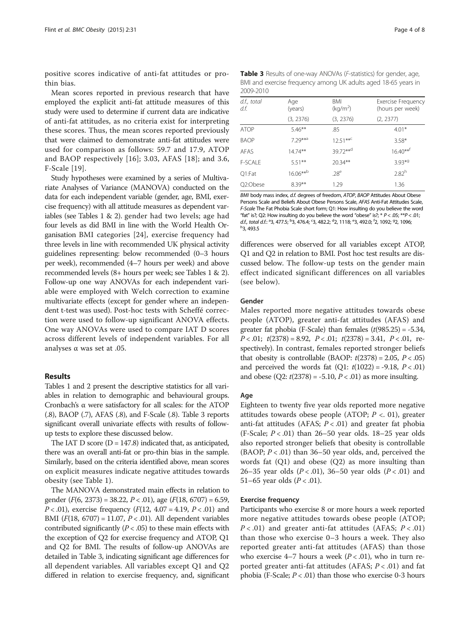positive scores indicative of anti-fat attitudes or prothin bias.

Mean scores reported in previous research that have employed the explicit anti-fat attitude measures of this study were used to determine if current data are indicative of anti-fat attitudes, as no criteria exist for interpreting these scores. Thus, the mean scores reported previously that were claimed to demonstrate anti-fat attitudes were used for comparison as follows: 59.7 and 17.9, ATOP and BAOP respectively [[16](#page-7-0)]; 3.03, AFAS [\[18](#page-7-0)]; and 3.6, F-Scale [[19\]](#page-7-0).

Study hypotheses were examined by a series of Multivariate Analyses of Variance (MANOVA) conducted on the data for each independent variable (gender, age, BMI, exercise frequency) with all attitude measures as dependent variables (see Tables [1](#page-1-0) & [2\)](#page-2-0). gender had two levels; age had four levels as did BMI in line with the World Health Organisation BMI categories [\[24](#page-7-0)], exercise frequency had three levels in line with recommended UK physical activity guidelines representing: below recommended (0–3 hours per week), recommended (4–7 hours per week) and above recommended levels (8+ hours per week; see Tables [1](#page-1-0) & [2](#page-2-0)). Follow-up one way ANOVAs for each independent variable were employed with Welch correction to examine multivariate effects (except for gender where an independent t-test was used). Post-hoc tests with Scheffé correction were used to follow-up significant ANOVA effects. One way ANOVAs were used to compare IAT D scores across different levels of independent variables. For all analyses α was set at .05.

# Results

Tables [1](#page-1-0) and [2](#page-2-0) present the descriptive statistics for all variables in relation to demographic and behavioural groups. Cronbach's α were satisfactory for all scales: for the ATOP (.8), BAOP (.7), AFAS (.8), and F-Scale (.8). Table 3 reports significant overall univariate effects with results of followup tests to explore these discussed below.

The IAT D score ( $D = 147.8$ ) indicated that, as anticipated, there was an overall anti-fat or pro-thin bias in the sample. Similarly, based on the criteria identified above, mean scores on explicit measures indicate negative attitudes towards obesity (see Table [1\)](#page-1-0).

The MANOVA demonstrated main effects in relation to gender  $(F(6, 2373) = 38.22, P < .01)$ , age  $(F(18, 6707) = 6.59,$ *P* < .01), exercise frequency (*F*(12, 4.07 = 4.19, *P* < .01) and BMI  $(F(18, 6707) = 11.07, P < .01)$ . All dependent variables contributed significantly ( $P < .05$ ) to these main effects with the exception of Q2 for exercise frequency and ATOP, Q1 and Q2 for BMI. The results of follow-up ANOVAs are detailed in Table 3, indicating significant age differences for all dependent variables. All variables except Q1 and Q2 differed in relation to exercise frequency, and, significant

| <b>Table 3</b> Results of one-way ANOVAs ( <i>F</i> -statistics) for gender, age, |
|-----------------------------------------------------------------------------------|
| BMI and exercise frequency among UK adults aged 18-65 years in                    |
| 2009-2010                                                                         |

| d.f., total<br>d.f. | Age<br>(years)         | <b>BMI</b><br>(kg/m <sup>2</sup> ) | <b>Exercise Frequency</b><br>(hours per week) |  |  |
|---------------------|------------------------|------------------------------------|-----------------------------------------------|--|--|
|                     | (3, 2376)              | (3, 2376)                          | (2, 2377)                                     |  |  |
| <b>ATOP</b>         | $5.46***$              | .85                                | $4.01*$                                       |  |  |
| <b>BAOP</b>         | $7.29***$ <sup>a</sup> | $12.51***$                         | $3.58*$                                       |  |  |
| AFAS                | $1474**$               | 39.72**d                           | $16.40***$                                    |  |  |
| <b>F-SCALE</b>      | $5.51***$              | $20.34***$                         | $3.93*9$                                      |  |  |
| Q1:Fat              | $16.06***b$            | $28^\circ$                         | 2.82 <sup>h</sup>                             |  |  |
| Q2:Obese            | 8.39**                 | 1.29                               | 1.36                                          |  |  |

BMI body mass index, d.f. degrees of freedom, ATOP, BAOP Attitudes About Obese Persons Scale and Beliefs About Obese Persons Scale, AFAS Anti-Fat Attitudes Scale, F-Scale The Fat Phobia Scale short form; Q1: How insulting do you believe the word "fat" is?; Q2: How insulting do you believe the word "obese" is?;  $* P < .05; ** P < .01;$ d.f., total d.f.: <sup>a</sup>3, 477.5; <sup>b</sup>3, 476.4; <sup>c</sup>3, 482.2; <sup>d</sup>2, 1118; <sup>e</sup>3, 492.0; <sup>f</sup>2, 1092; <sup>g</sup>2, 1096<sub>;</sub><br><sup>h</sup>3, 403.5  $h$ 3, 493.5

differences were observed for all variables except ATOP, Q1 and Q2 in relation to BMI. Post hoc test results are discussed below. The follow-up tests on the gender main effect indicated significant differences on all variables (see below).

# Gender

Males reported more negative attitudes towards obese people (ATOP), greater anti-fat attitudes (AFAS) and greater fat phobia (F-Scale) than females  $(t(985.25) = -5.34$ ,  $P < .01$ ;  $t(2378) = 8.92$ ,  $P < .01$ ;  $t(2378) = 3.41$ ,  $P < .01$ , respectively). In contrast, females reported stronger beliefs that obesity is controllable (BAOP:  $t(2378) = 2.05$ ,  $P < .05$ ) and perceived the words fat  $(Q1: t(1022) = -9.18, P < .01)$ and obese  $(Q2: t(2378) = -5.10, P < .01)$  as more insulting.

#### Age

Eighteen to twenty five year olds reported more negative attitudes towards obese people (ATOP;  $P < 01$ ), greater anti-fat attitudes (AFAS;  $P < .01$ ) and greater fat phobia (F-Scale;  $P < .01$ ) than 26-50 year olds. 18-25 year olds also reported stronger beliefs that obesity is controllable (BAOP;  $P < .01$ ) than 36–50 year olds, and, perceived the words fat  $(Q1)$  and obese  $(Q2)$  as more insulting than 26–35 year olds  $(P < .01)$ , 36–50 year olds  $(P < .01)$  and 51–65 year olds ( $P < .01$ ).

#### Exercise frequency

Participants who exercise 8 or more hours a week reported more negative attitudes towards obese people (ATOP;  $P < .01$ ) and greater anti-fat attitudes (AFAS;  $P < .01$ ) than those who exercise 0–3 hours a week. They also reported greater anti-fat attitudes (AFAS) than those who exercise 4–7 hours a week  $(P < .01)$ , who in turn reported greater anti-fat attitudes (AFAS;  $P < .01$ ) and fat phobia (F-Scale;  $P < .01$ ) than those who exercise 0-3 hours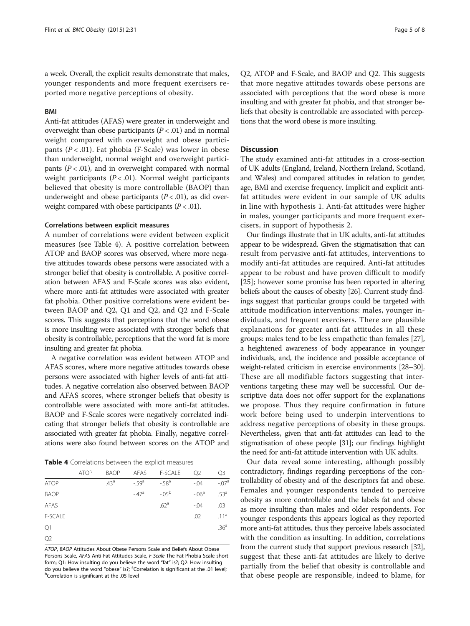a week. Overall, the explicit results demonstrate that males, younger respondents and more frequent exercisers reported more negative perceptions of obesity.

#### BMI

Anti-fat attitudes (AFAS) were greater in underweight and overweight than obese participants  $(P < .01)$  and in normal weight compared with overweight and obese participants ( $P < .01$ ). Fat phobia (F-Scale) was lower in obese than underweight, normal weight and overweight participants  $(P < .01)$ , and in overweight compared with normal weight participants  $(P < .01)$ . Normal weight participants believed that obesity is more controllable (BAOP) than underweight and obese participants  $(P < .01)$ , as did overweight compared with obese participants  $(P < .01)$ .

#### Correlations between explicit measures

A number of correlations were evident between explicit measures (see Table 4). A positive correlation between ATOP and BAOP scores was observed, where more negative attitudes towards obese persons were associated with a stronger belief that obesity is controllable. A positive correlation between AFAS and F-Scale scores was also evident, where more anti-fat attitudes were associated with greater fat phobia. Other positive correlations were evident between BAOP and Q2, Q1 and Q2, and Q2 and F-Scale scores. This suggests that perceptions that the word obese is more insulting were associated with stronger beliefs that obesity is controllable, perceptions that the word fat is more insulting and greater fat phobia.

A negative correlation was evident between ATOP and AFAS scores, where more negative attitudes towards obese persons were associated with higher levels of anti-fat attitudes. A negative correlation also observed between BAOP and AFAS scores, where stronger beliefs that obesity is controllable were associated with more anti-fat attitudes. BAOP and F-Scale scores were negatively correlated indicating that stronger beliefs that obesity is controllable are associated with greater fat phobia. Finally, negative correlations were also found between scores on the ATOP and

Table 4 Correlations between the explicit measures

|                | <b>ATOP</b> | <b>BAOP</b>      | AFAS   | <b>F-SCALE</b>   | Q <sub>2</sub> | Q <sub>3</sub>   |
|----------------|-------------|------------------|--------|------------------|----------------|------------------|
| <b>ATOP</b>    |             | .43 <sup>a</sup> | $-59a$ | $-58a$           | $-.04$         | $-07^{\circ}$    |
| <b>BAOP</b>    |             |                  | $-47a$ | $-05^{b}$        | $-.06a$        | .53 <sup>a</sup> |
| AFAS           |             |                  |        | .62 <sup>a</sup> | $-.04$         | .03              |
| <b>F-SCALE</b> |             |                  |        |                  | .02            | .11 <sup>a</sup> |
| Q1             |             |                  |        |                  |                | .36 <sup>a</sup> |
| Q <sub>2</sub> |             |                  |        |                  |                |                  |

ATOP, BAOP Attitudes About Obese Persons Scale and Beliefs About Obese Persons Scale, AFAS Anti-Fat Attitudes Scale, F-Scale The Fat Phobia Scale short form; Q1: How insulting do you believe the word "fat" is?; Q2: How insulting do you believe the word "obese" is?; <sup>a</sup>Correlation is significant at the .01 level;<br><sup>b</sup>Correlation is significant at the .05 level <sup>b</sup>Correlation is significant at the .05 level

Q2, ATOP and F-Scale, and BAOP and Q2. This suggests that more negative attitudes towards obese persons are associated with perceptions that the word obese is more insulting and with greater fat phobia, and that stronger beliefs that obesity is controllable are associated with perceptions that the word obese is more insulting.

# **Discussion**

The study examined anti-fat attitudes in a cross-section of UK adults (England, Ireland, Northern Ireland, Scotland, and Wales) and compared attitudes in relation to gender, age, BMI and exercise frequency. Implicit and explicit antifat attitudes were evident in our sample of UK adults in line with hypothesis 1. Anti-fat attitudes were higher in males, younger participants and more frequent exercisers, in support of hypothesis 2.

Our findings illustrate that in UK adults, anti-fat attitudes appear to be widespread. Given the stigmatisation that can result from pervasive anti-fat attitudes, interventions to modify anti-fat attitudes are required. Anti-fat attitudes appear to be robust and have proven difficult to modify [[25\]](#page-7-0); however some promise has been reported in altering beliefs about the causes of obesity [\[26\]](#page-7-0). Current study findings suggest that particular groups could be targeted with attitude modification interventions: males, younger individuals, and frequent exercisers. There are plausible explanations for greater anti-fat attitudes in all these groups: males tend to be less empathetic than females [[27](#page-7-0)], a heightened awareness of body appearance in younger individuals, and, the incidence and possible acceptance of weight-related criticism in exercise environments [[28](#page-7-0)–[30](#page-7-0)]. These are all modifiable factors suggesting that interventions targeting these may well be successful. Our descriptive data does not offer support for the explanations we propose. Thus they require confirmation in future work before being used to underpin interventions to address negative perceptions of obesity in these groups. Nevertheless, given that anti-fat attitudes can lead to the stigmatisation of obese people [\[31](#page-7-0)]; our findings highlight the need for anti-fat attitude intervention with UK adults.

Our data reveal some interesting, although possibly contradictory, findings regarding perceptions of the controllability of obesity and of the descriptors fat and obese. Females and younger respondents tended to perceive obesity as more controllable and the labels fat and obese as more insulting than males and older respondents. For younger respondents this appears logical as they reported more anti-fat attitudes, thus they perceive labels associated with the condition as insulting. In addition, correlations from the current study that support previous research [[32](#page-7-0)], suggest that these anti-fat attitudes are likely to derive partially from the belief that obesity is controllable and that obese people are responsible, indeed to blame, for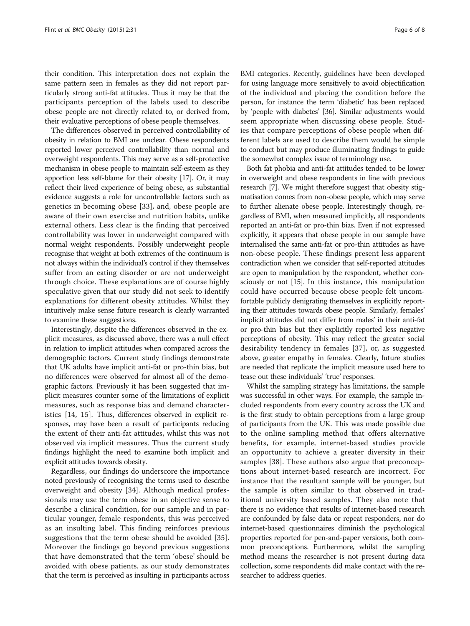their condition. This interpretation does not explain the same pattern seen in females as they did not report particularly strong anti-fat attitudes. Thus it may be that the participants perception of the labels used to describe obese people are not directly related to, or derived from, their evaluative perceptions of obese people themselves.

The differences observed in perceived controllability of obesity in relation to BMI are unclear. Obese respondents reported lower perceived controllability than normal and overweight respondents. This may serve as a self-protective mechanism in obese people to maintain self-esteem as they apportion less self-blame for their obesity [[17](#page-7-0)]. Or, it may reflect their lived experience of being obese, as substantial evidence suggests a role for uncontrollable factors such as genetics in becoming obese [[33\]](#page-7-0), and, obese people are aware of their own exercise and nutrition habits, unlike external others. Less clear is the finding that perceived controllability was lower in underweight compared with normal weight respondents. Possibly underweight people recognise that weight at both extremes of the continuum is not always within the individual's control if they themselves suffer from an eating disorder or are not underweight through choice. These explanations are of course highly speculative given that our study did not seek to identify explanations for different obesity attitudes. Whilst they intuitively make sense future research is clearly warranted to examine these suggestions.

Interestingly, despite the differences observed in the explicit measures, as discussed above, there was a null effect in relation to implicit attitudes when compared across the demographic factors. Current study findings demonstrate that UK adults have implicit anti-fat or pro-thin bias, but no differences were observed for almost all of the demographic factors. Previously it has been suggested that implicit measures counter some of the limitations of explicit measures, such as response bias and demand characteristics [\[14](#page-7-0), [15](#page-7-0)]. Thus, differences observed in explicit responses, may have been a result of participants reducing the extent of their anti-fat attitudes, whilst this was not observed via implicit measures. Thus the current study findings highlight the need to examine both implicit and explicit attitudes towards obesity.

Regardless, our findings do underscore the importance noted previously of recognising the terms used to describe overweight and obesity [\[34](#page-7-0)]. Although medical professionals may use the term obese in an objective sense to describe a clinical condition, for our sample and in particular younger, female respondents, this was perceived as an insulting label. This finding reinforces previous suggestions that the term obese should be avoided [[35](#page-7-0)]. Moreover the findings go beyond previous suggestions that have demonstrated that the term 'obese' should be avoided with obese patients, as our study demonstrates that the term is perceived as insulting in participants across

BMI categories. Recently, guidelines have been developed for using language more sensitively to avoid objectification of the individual and placing the condition before the person, for instance the term 'diabetic' has been replaced by 'people with diabetes' [[36](#page-7-0)]. Similar adjustments would seem appropriate when discussing obese people. Studies that compare perceptions of obese people when different labels are used to describe them would be simple to conduct but may produce illuminating findings to guide the somewhat complex issue of terminology use.

Both fat phobia and anti-fat attitudes tended to be lower in overweight and obese respondents in line with previous research [\[7\]](#page-6-0). We might therefore suggest that obesity stigmatisation comes from non-obese people, which may serve to further alienate obese people. Interestingly though, regardless of BMI, when measured implicitly, all respondents reported an anti-fat or pro-thin bias. Even if not expressed explicitly, it appears that obese people in our sample have internalised the same anti-fat or pro-thin attitudes as have non-obese people. These findings present less apparent contradiction when we consider that self-reported attitudes are open to manipulation by the respondent, whether consciously or not [[15](#page-7-0)]. In this instance, this manipulation could have occurred because obese people felt uncomfortable publicly denigrating themselves in explicitly reporting their attitudes towards obese people. Similarly, females' implicit attitudes did not differ from males' in their anti-fat or pro-thin bias but they explicitly reported less negative perceptions of obesity. This may reflect the greater social desirability tendency in females [[37](#page-7-0)], or, as suggested above, greater empathy in females. Clearly, future studies are needed that replicate the implicit measure used here to tease out these individuals' 'true' responses.

Whilst the sampling strategy has limitations, the sample was successful in other ways. For example, the sample included respondents from every country across the UK and is the first study to obtain perceptions from a large group of participants from the UK. This was made possible due to the online sampling method that offers alternative benefits, for example, internet-based studies provide an opportunity to achieve a greater diversity in their samples [\[38\]](#page-7-0). These authors also argue that preconceptions about internet-based research are incorrect. For instance that the resultant sample will be younger, but the sample is often similar to that observed in traditional university based samples. They also note that there is no evidence that results of internet-based research are confounded by false data or repeat responders, nor do internet-based questionnaires diminish the psychological properties reported for pen-and-paper versions, both common preconceptions. Furthermore, whilst the sampling method means the researcher is not present during data collection, some respondents did make contact with the researcher to address queries.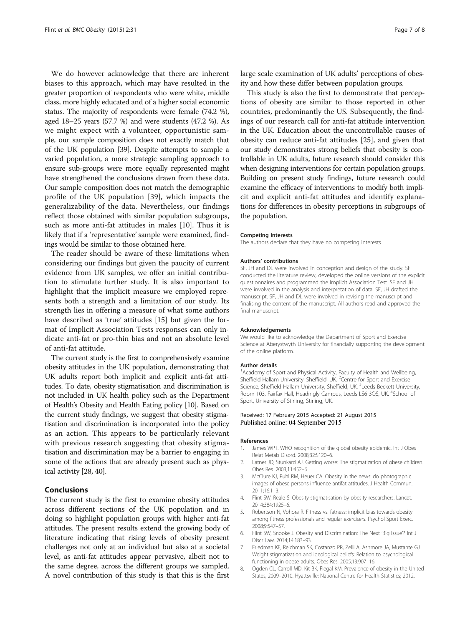<span id="page-6-0"></span>We do however acknowledge that there are inherent biases to this approach, which may have resulted in the greater proportion of respondents who were white, middle class, more highly educated and of a higher social economic status. The majority of respondents were female (74.2 %), aged 18–25 years (57.7 %) and were students (47.2 %). As we might expect with a volunteer, opportunistic sample, our sample composition does not exactly match that of the UK population [\[39](#page-7-0)]. Despite attempts to sample a varied population, a more strategic sampling approach to ensure sub-groups were more equally represented might have strengthened the conclusions drawn from these data. Our sample composition does not match the demographic profile of the UK population [\[39\]](#page-7-0), which impacts the generalizability of the data. Nevertheless, our findings reflect those obtained with similar population subgroups, such as more anti-fat attitudes in males [[10](#page-7-0)]. Thus it is likely that if a 'representative' sample were examined, findings would be similar to those obtained here.

The reader should be aware of these limitations when considering our findings but given the paucity of current evidence from UK samples, we offer an initial contribution to stimulate further study. It is also important to highlight that the implicit measure we employed represents both a strength and a limitation of our study. Its strength lies in offering a measure of what some authors have described as 'true' attitudes [\[15](#page-7-0)] but given the format of Implicit Association Tests responses can only indicate anti-fat or pro-thin bias and not an absolute level of anti-fat attitude.

The current study is the first to comprehensively examine obesity attitudes in the UK population, demonstrating that UK adults report both implicit and explicit anti-fat attitudes. To date, obesity stigmatisation and discrimination is not included in UK health policy such as the Department of Health's Obesity and Health Eating policy [\[10](#page-7-0)]. Based on the current study findings, we suggest that obesity stigmatisation and discrimination is incorporated into the policy as an action. This appears to be particularly relevant with previous research suggesting that obesity stigmatisation and discrimination may be a barrier to engaging in some of the actions that are already present such as physical activity [\[28, 40\]](#page-7-0).

# **Conclusions**

The current study is the first to examine obesity attitudes across different sections of the UK population and in doing so highlight population groups with higher anti-fat attitudes. The present results extend the growing body of literature indicating that rising levels of obesity present challenges not only at an individual but also at a societal level, as anti-fat attitudes appear pervasive, albeit not to the same degree, across the different groups we sampled. A novel contribution of this study is that this is the first

large scale examination of UK adults' perceptions of obesity and how these differ between population groups.

This study is also the first to demonstrate that perceptions of obesity are similar to those reported in other countries, predominantly the US. Subsequently, the findings of our research call for anti-fat attitude intervention in the UK. Education about the uncontrollable causes of obesity can reduce anti-fat attitudes [\[25](#page-7-0)], and given that our study demonstrates strong beliefs that obesity is controllable in UK adults, future research should consider this when designing interventions for certain population groups. Building on present study findings, future research could examine the efficacy of interventions to modify both implicit and explicit anti-fat attitudes and identify explanations for differences in obesity perceptions in subgroups of the population.

#### Competing interests

The authors declare that they have no competing interests.

# Authors' contributions

SF, JH and DL were involved in conception and design of the study. SF conducted the literature review, developed the online versions of the explicit questionnaires and programmed the Implicit Association Test. SF and JH were involved in the analysis and interpretation of data. SF, JH drafted the manuscript. SF, JH and DL were involved in revising the manuscript and finalising the content of the manuscript. All authors read and approved the final manuscript.

#### Acknowledgements

We would like to acknowledge the Department of Sport and Exercise Science at Aberystwyth University for financially supporting the development of the online platform.

#### Author details

<sup>1</sup> Academy of Sport and Physical Activity, Faculty of Health and Wellbeing Sheffield Hallam University, Sheffield, UK. <sup>2</sup> Centre for Sport and Exercise Science, Sheffield Hallam University, Sheffield, UK. <sup>3</sup> Leeds Beckett University, Room 103, Fairfax Hall, Headingly Campus, Leeds LS6 3QS, UK. <sup>4</sup>School of Sport, University of Stirling, Stirling, UK.

#### Received: 17 February 2015 Accepted: 21 August 2015 Published online: 04 September 2015

#### References

- 1. James WPT. WHO recognition of the global obesity epidemic. Int J Obes Relat Metab Disord. 2008;32:S120–6.
- 2. Latner JD, Stunkard AJ. Getting worse: The stigmatization of obese children. Obes Res. 2003;11:452–6.
- 3. McClure KJ, Puhl RM, Heuer CA. Obesity in the news: do photographic images of obese persons influence antifat attitudes. J Health Commun. 2011;16:1–3.
- 4. Flint SW, Reale S. Obesity stigmatisation by obesity researchers. Lancet. 2014;384:1925–6.
- 5. Robertson N, Vohora R. Fitness vs. fatness: implicit bias towards obesity among fitness professionals and regular exercisers. Psychol Sport Exerc. 2008;9:547–57.
- 6. Flint SW, Snooke J. Obesity and Discrimination: The Next 'Big Issue'? Int J Discr Law. 2014;14:183–93.
- 7. Friedman KE, Reichman SK, Costanzo PR, Zelli A, Ashmore JA, Mustante GJ. Weight stigmatization and ideological beliefs: Relation to psychological functioning in obese adults. Obes Res. 2005;13:907–16.
- 8. Ogden CL, Carroll MD, Kit BK, Flegal KM. Prevalence of obesity in the United States, 2009–2010. Hyattsville: National Centre for Health Statistics; 2012.